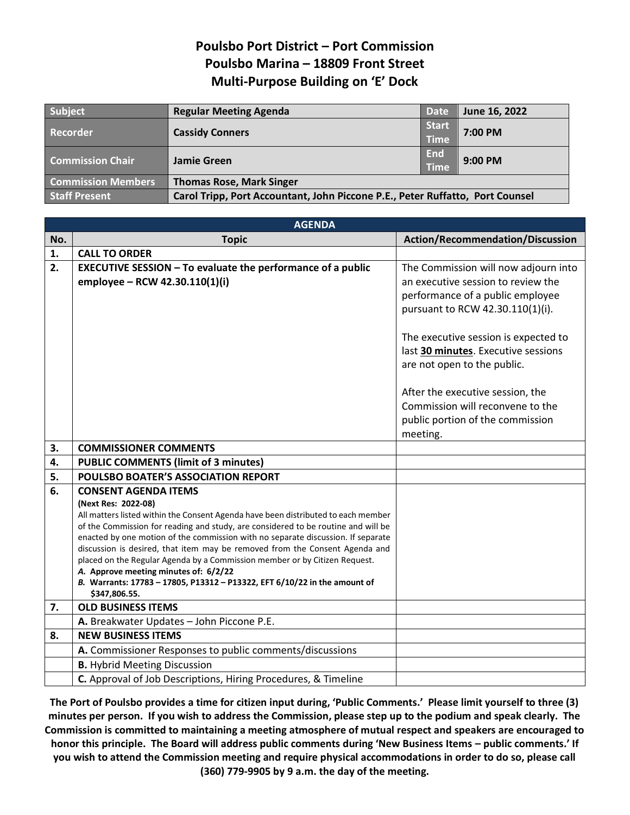## **Poulsbo Port District – Port Commission Poulsbo Marina – 18809 Front Street Multi-Purpose Building on 'E' Dock**

| <b>Subject</b>            | <b>Regular Meeting Agenda</b>                                                 | <b>Date</b>                 | June 16, 2022 |
|---------------------------|-------------------------------------------------------------------------------|-----------------------------|---------------|
| Recorder                  | <b>Cassidy Conners</b>                                                        | <b>Start</b><br><b>Time</b> | 7:00 PM       |
| <b>Commission Chair</b>   | Jamie Green                                                                   | <b>End</b><br><b>Time</b>   | $9:00$ PM     |
| <b>Commission Members</b> | <b>Thomas Rose, Mark Singer</b>                                               |                             |               |
| <b>Staff Present</b>      | Carol Tripp, Port Accountant, John Piccone P.E., Peter Ruffatto, Port Counsel |                             |               |

|     | <b>AGENDA</b>                                                                                                                                                                                                                                                                                                                                                                                                                                                                                                                                                                                                        |                                                                                                                                                                                                                                                                                                                                                                                          |  |  |  |
|-----|----------------------------------------------------------------------------------------------------------------------------------------------------------------------------------------------------------------------------------------------------------------------------------------------------------------------------------------------------------------------------------------------------------------------------------------------------------------------------------------------------------------------------------------------------------------------------------------------------------------------|------------------------------------------------------------------------------------------------------------------------------------------------------------------------------------------------------------------------------------------------------------------------------------------------------------------------------------------------------------------------------------------|--|--|--|
| No. | <b>Topic</b>                                                                                                                                                                                                                                                                                                                                                                                                                                                                                                                                                                                                         | <b>Action/Recommendation/Discussion</b>                                                                                                                                                                                                                                                                                                                                                  |  |  |  |
| 1.  | <b>CALL TO ORDER</b>                                                                                                                                                                                                                                                                                                                                                                                                                                                                                                                                                                                                 |                                                                                                                                                                                                                                                                                                                                                                                          |  |  |  |
| 2.  | <b>EXECUTIVE SESSION - To evaluate the performance of a public</b><br>employee - RCW 42.30.110(1)(i)                                                                                                                                                                                                                                                                                                                                                                                                                                                                                                                 | The Commission will now adjourn into<br>an executive session to review the<br>performance of a public employee<br>pursuant to RCW 42.30.110(1)(i).<br>The executive session is expected to<br>last 30 minutes. Executive sessions<br>are not open to the public.<br>After the executive session, the<br>Commission will reconvene to the<br>public portion of the commission<br>meeting. |  |  |  |
| 3.  | <b>COMMISSIONER COMMENTS</b>                                                                                                                                                                                                                                                                                                                                                                                                                                                                                                                                                                                         |                                                                                                                                                                                                                                                                                                                                                                                          |  |  |  |
| 4.  | <b>PUBLIC COMMENTS (limit of 3 minutes)</b>                                                                                                                                                                                                                                                                                                                                                                                                                                                                                                                                                                          |                                                                                                                                                                                                                                                                                                                                                                                          |  |  |  |
| 5.  | POULSBO BOATER'S ASSOCIATION REPORT                                                                                                                                                                                                                                                                                                                                                                                                                                                                                                                                                                                  |                                                                                                                                                                                                                                                                                                                                                                                          |  |  |  |
| 6.  | <b>CONSENT AGENDA ITEMS</b><br>(Next Res: 2022-08)<br>All matters listed within the Consent Agenda have been distributed to each member<br>of the Commission for reading and study, are considered to be routine and will be<br>enacted by one motion of the commission with no separate discussion. If separate<br>discussion is desired, that item may be removed from the Consent Agenda and<br>placed on the Regular Agenda by a Commission member or by Citizen Request.<br>A. Approve meeting minutes of: 6/2/22<br>B. Warrants: 17783 - 17805, P13312 - P13322, EFT 6/10/22 in the amount of<br>\$347,806.55. |                                                                                                                                                                                                                                                                                                                                                                                          |  |  |  |
| 7.  | <b>OLD BUSINESS ITEMS</b>                                                                                                                                                                                                                                                                                                                                                                                                                                                                                                                                                                                            |                                                                                                                                                                                                                                                                                                                                                                                          |  |  |  |
|     | A. Breakwater Updates - John Piccone P.E.                                                                                                                                                                                                                                                                                                                                                                                                                                                                                                                                                                            |                                                                                                                                                                                                                                                                                                                                                                                          |  |  |  |
| 8.  | <b>NEW BUSINESS ITEMS</b>                                                                                                                                                                                                                                                                                                                                                                                                                                                                                                                                                                                            |                                                                                                                                                                                                                                                                                                                                                                                          |  |  |  |
|     | A. Commissioner Responses to public comments/discussions                                                                                                                                                                                                                                                                                                                                                                                                                                                                                                                                                             |                                                                                                                                                                                                                                                                                                                                                                                          |  |  |  |
|     | <b>B.</b> Hybrid Meeting Discussion                                                                                                                                                                                                                                                                                                                                                                                                                                                                                                                                                                                  |                                                                                                                                                                                                                                                                                                                                                                                          |  |  |  |
|     | C. Approval of Job Descriptions, Hiring Procedures, & Timeline                                                                                                                                                                                                                                                                                                                                                                                                                                                                                                                                                       |                                                                                                                                                                                                                                                                                                                                                                                          |  |  |  |

**The Port of Poulsbo provides a time for citizen input during, 'Public Comments.' Please limit yourself to three (3) minutes per person. If you wish to address the Commission, please step up to the podium and speak clearly. The Commission is committed to maintaining a meeting atmosphere of mutual respect and speakers are encouraged to honor this principle. The Board will address public comments during 'New Business Items – public comments.' If you wish to attend the Commission meeting and require physical accommodations in order to do so, please call (360) 779-9905 by 9 a.m. the day of the meeting.**